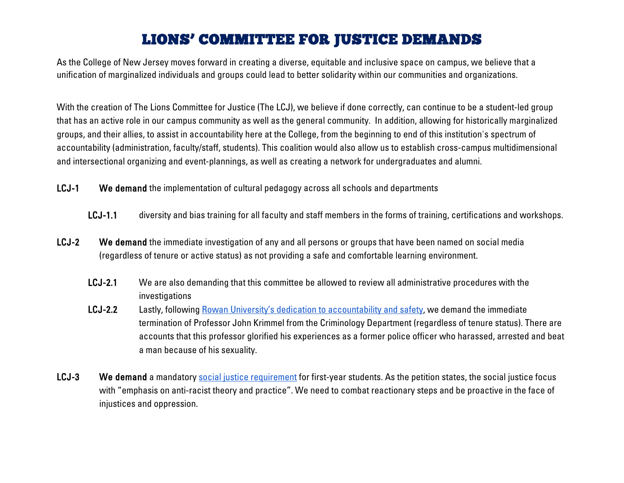## LIONS' COMMITTEE FOR JUSTICE DEMANDS

As the College of New Jersey moves forward in creating a diverse, equitable and inclusive space on campus, we believe that a unification of marginalized individuals and groups could lead to better solidarity within our communities and organizations.

With the creation of The Lions Committee for Justice (The LCJ), we believe if done correctly, can continue to be a student-led group that has an active role in our campus community as well as the general community. In addition, allowing for historically marginalized groups, and their allies, to assist in accountability here at the College, from the beginning to end of this institution's spectrum of accountability (administration, faculty/staff, students). This coalition would also allow us to establish cross-campus multidimensional and intersectional organizing and event-plannings, as well as creating a network for undergraduates and alumni.

- LCJ-1 We demand the implementation of cultural pedagogy across all schools and departments
	- LCJ-1.1 diversity and bias training for all faculty and staff members in the forms of training, certifications and workshops.
- LCJ-2 We demand the immediate investigation of any and all persons or groups that have been named on social media (regardless of tenure or active status) as not providing a safe and comfortable learning environment.
	- LCJ-2.1 We are also demanding that this committee be allowed to review all administrative procedures with the investigations
	- LCJ-2.2 Lastly, following [Rowan University's dedication to accountability and safety,](https://www.inquirer.com/news/new-jersey/rowan-university-peter-amico-fired-former-police-officer-glassboro-black-teen-20200609.html) we demand the immediate termination of Professor John Krimmel from the Criminology Department (regardless of tenure status). There are accounts that this professor glorified his experiences as a former police officer who harassed, arrested and beat a man because of his sexuality.
- LCJ-3 We demand a mandatory [social justice requirement](https://www.change.org/p/jeffrey-osborne-require-social-justice-course-for-first-year-students-at-tcnj?recruiter=78941342&utm_source=share_petition&utm_medium=copylink&utm_campaign=share_petition) for first-year students. As the petition states, the social justice focus with "emphasis on anti-racist theory and practice". We need to combat reactionary steps and be proactive in the face of injustices and oppression.